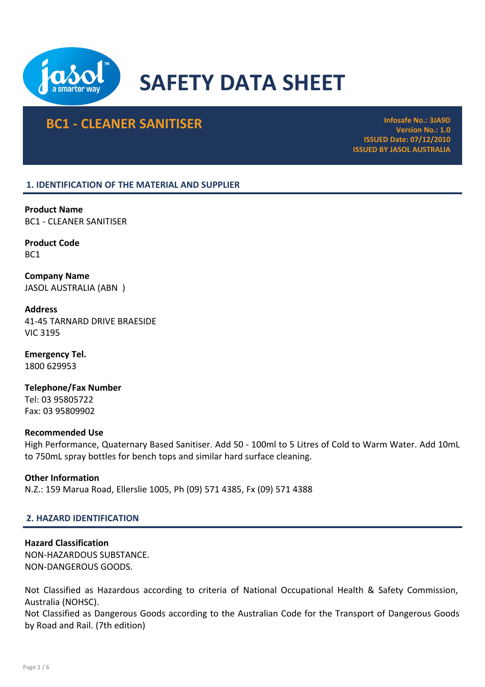

# SAFETY DATA SHEET

# **BC1 - CLEANER SANITISER Infosafe No.: 3JA9D**

Version No.: 1.0 ISSUED Date: 07/12/2010 ISSUED BY JASOL AUSTRALIA

# 1. IDENTIFICATION OF THE MATERIAL AND SUPPLIER

Product Name BC1 - CLEANER SANITISER

Product Code BC1

Company Name JASOL AUSTRALIA (ABN )

Address 41-45 TARNARD DRIVE BRAESIDE VIC 3195

Emergency Tel. 1800 629953

Telephone/Fax Number Tel: 03 95805722 Fax: 03 95809902

#### Recommended Use

High Performance, Quaternary Based Sanitiser. Add 50 - 100ml to 5 Litres of Cold to Warm Water. Add 10mL to 750mL spray bottles for bench tops and similar hard surface cleaning.

# Other Information

N.Z.: 159 Marua Road, Ellerslie 1005, Ph (09) 571 4385, Fx (09) 571 4388

# 2. HAZARD IDENTIFICATION

# Hazard Classification

NON-HAZARDOUS SUBSTANCE. NON-DANGEROUS GOODS.

Not Classified as Hazardous according to criteria of National Occupational Health & Safety Commission, Australia (NOHSC).

Not Classified as Dangerous Goods according to the Australian Code for the Transport of Dangerous Goods by Road and Rail. (7th edition)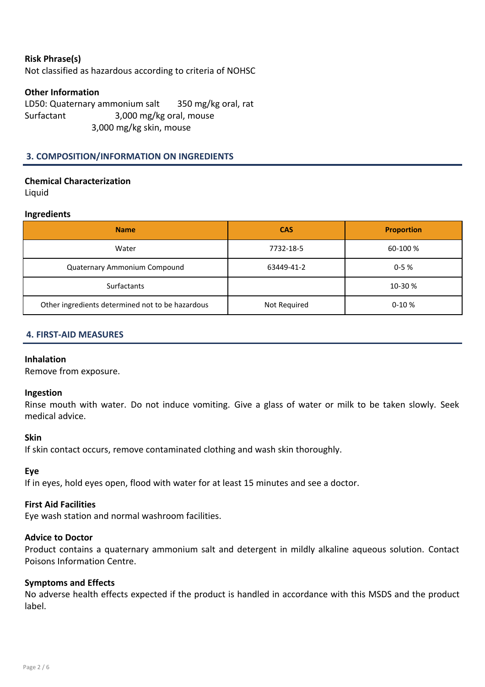# Risk Phrase(s)

Not classified as hazardous according to criteria of NOHSC

# Other Information

LD50: Quaternary ammonium salt 350 mg/kg oral, rat Surfactant 3,000 mg/kg oral, mouse 3,000 mg/kg skin, mouse

# 3. COMPOSITION/INFORMATION ON INGREDIENTS

# Chemical Characterization

Liquid

#### Ingredients

| <b>Name</b>                                      | <b>CAS</b>   | <b>Proportion</b> |
|--------------------------------------------------|--------------|-------------------|
| Water                                            | 7732-18-5    | 60-100 %          |
| Quaternary Ammonium Compound                     | 63449-41-2   | $0 - 5%$          |
| <b>Surfactants</b>                               |              | 10-30 %           |
| Other ingredients determined not to be hazardous | Not Required | $0-10%$           |

#### 4. FIRST-AID MEASURES

#### Inhalation

Remove from exposure.

#### Ingestion

Rinse mouth with water. Do not induce vomiting. Give a glass of water or milk to be taken slowly. Seek medical advice.

#### Skin

If skin contact occurs, remove contaminated clothing and wash skin thoroughly.

#### Eye

If in eyes, hold eyes open, flood with water for at least 15 minutes and see a doctor.

# First Aid Facilities

Eye wash station and normal washroom facilities.

#### Advice to Doctor

Product contains a quaternary ammonium salt and detergent in mildly alkaline aqueous solution. Contact Poisons Information Centre.

#### Symptoms and Effects

No adverse health effects expected if the product is handled in accordance with this MSDS and the product label.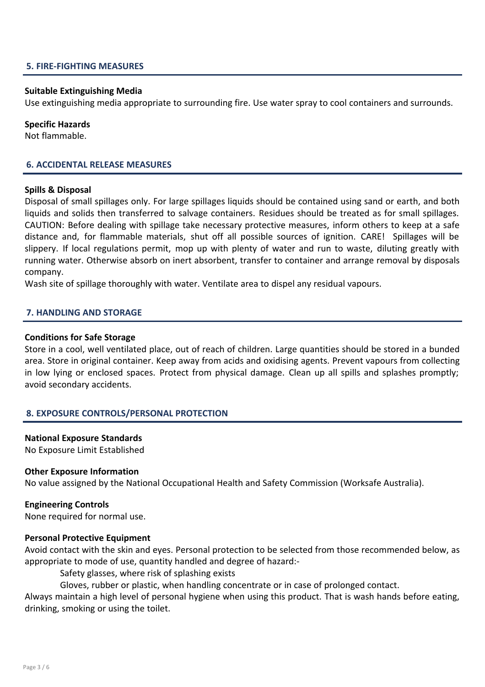#### 5. FIRE-FIGHTING MEASURES

#### Suitable Extinguishing Media

Use extinguishing media appropriate to surrounding fire. Use water spray to cool containers and surrounds.

#### Specific Hazards

Not flammable.

#### 6. ACCIDENTAL RELEASE MEASURES

#### Spills & Disposal

Disposal of small spillages only. For large spillages liquids should be contained using sand or earth, and both liquids and solids then transferred to salvage containers. Residues should be treated as for small spillages. CAUTION: Before dealing with spillage take necessary protective measures, inform others to keep at a safe distance and, for flammable materials, shut off all possible sources of ignition. CARE! Spillages will be slippery. If local regulations permit, mop up with plenty of water and run to waste, diluting greatly with running water. Otherwise absorb on inert absorbent, transfer to container and arrange removal by disposals company.

Wash site of spillage thoroughly with water. Ventilate area to dispel any residual vapours.

#### 7. HANDLING AND STORAGE

#### Conditions for Safe Storage

Store in a cool, well ventilated place, out of reach of children. Large quantities should be stored in a bunded area. Store in original container. Keep away from acids and oxidising agents. Prevent vapours from collecting in low lying or enclosed spaces. Protect from physical damage. Clean up all spills and splashes promptly; avoid secondary accidents.

#### 8. EXPOSURE CONTROLS/PERSONAL PROTECTION

#### National Exposure Standards

No Exposure Limit Established

#### Other Exposure Information

No value assigned by the National Occupational Health and Safety Commission (Worksafe Australia).

#### Engineering Controls

None required for normal use.

#### Personal Protective Equipment

Avoid contact with the skin and eyes. Personal protection to be selected from those recommended below, as appropriate to mode of use, quantity handled and degree of hazard:-

Safety glasses, where risk of splashing exists

Gloves, rubber or plastic, when handling concentrate or in case of prolonged contact.

Always maintain a high level of personal hygiene when using this product. That is wash hands before eating, drinking, smoking or using the toilet.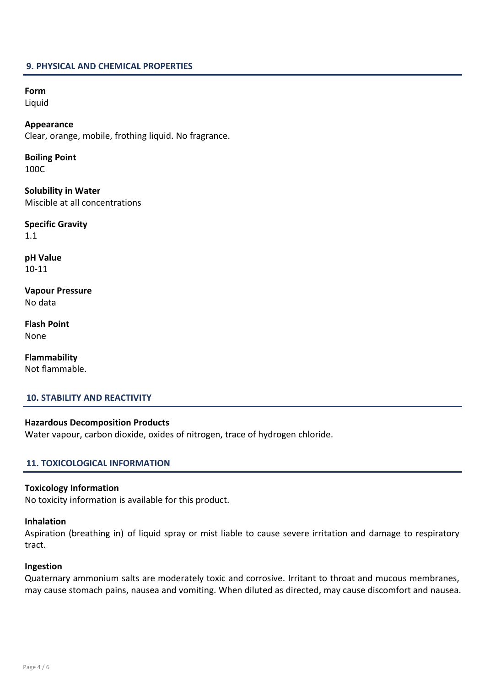#### 9. PHYSICAL AND CHEMICAL PROPERTIES

Form

Liquid

Appearance Clear, orange, mobile, frothing liquid. No fragrance.

Boiling Point 100C

Solubility in Water Miscible at all concentrations

Specific Gravity 1.1

pH Value 10-11

Vapour Pressure No data

Flash Point None

Flammability Not flammable.

# 10. STABILITY AND REACTIVITY

Hazardous Decomposition Products Water vapour, carbon dioxide, oxides of nitrogen, trace of hydrogen chloride.

#### 11. TOXICOLOGICAL INFORMATION

#### Toxicology Information

No toxicity information is available for this product.

# Inhalation

Aspiration (breathing in) of liquid spray or mist liable to cause severe irritation and damage to respiratory tract.

#### Ingestion

Quaternary ammonium salts are moderately toxic and corrosive. Irritant to throat and mucous membranes, may cause stomach pains, nausea and vomiting. When diluted as directed, may cause discomfort and nausea.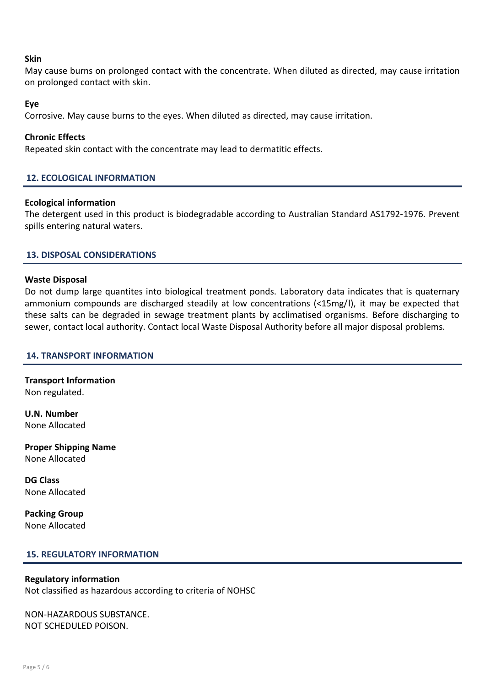# **Skin**

May cause burns on prolonged contact with the concentrate. When diluted as directed, may cause irritation on prolonged contact with skin.

# Eye

Corrosive. May cause burns to the eyes. When diluted as directed, may cause irritation.

# Chronic Effects

Repeated skin contact with the concentrate may lead to dermatitic effects.

# 12. ECOLOGICAL INFORMATION

#### Ecological information

The detergent used in this product is biodegradable according to Australian Standard AS1792-1976. Prevent spills entering natural waters.

# 13. DISPOSAL CONSIDERATIONS

#### Waste Disposal

Do not dump large quantites into biological treatment ponds. Laboratory data indicates that is quaternary ammonium compounds are discharged steadily at low concentrations (<15mg/l), it may be expected that these salts can be degraded in sewage treatment plants by acclimatised organisms. Before discharging to sewer, contact local authority. Contact local Waste Disposal Authority before all major disposal problems.

#### 14. TRANSPORT INFORMATION

Transport Information Non regulated.

U.N. Number None Allocated

Proper Shipping Name None Allocated

DG Class None Allocated

Packing Group None Allocated

#### 15. REGULATORY INFORMATION

#### Regulatory information

Not classified as hazardous according to criteria of NOHSC

NON-HAZARDOUS SUBSTANCE. NOT SCHEDULED POISON.